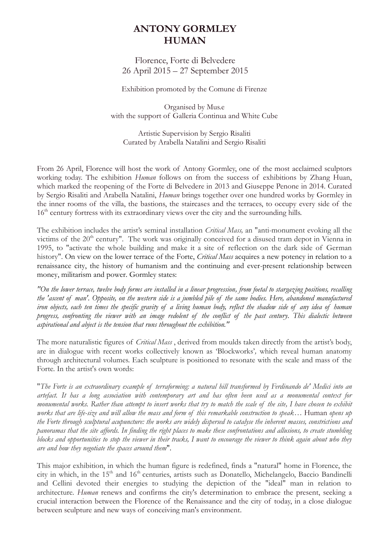# **ANTONY GORMLEY HUMAN**

Florence, Forte di Belvedere 26 April 2015 – 27 September 2015

Exhibition promoted by the Comune di Firenze

Organised by Mus.e with the support of Galleria Continua and White Cube

Artistic Supervision by Sergio Risaliti Curated by Arabella Natalini and Sergio Risaliti

From 26 April, Florence will host the work of Antony Gormley, one of the most acclaimed sculptors working today. The exhibition *Human* follows on from the success of exhibitions by Zhang Huan, which marked the reopening of the Forte di Belvedere in 2013 and Giuseppe Penone in 2014. Curated by Sergio Risaliti and Arabella Natalini, *Human* brings together over one hundred works by Gormley in the inner rooms of the villa, the bastions, the staircases and the terraces, to occupy every side of the 16<sup>th</sup> century fortress with its extraordinary views over the city and the surrounding hills.

The exhibition includes the artist's seminal installation *Critical Mass,* an "anti-monument evoking all the victims of the 20<sup>th</sup> century". The work was originally conceived for a disused tram depot in Vienna in 1995, to "activate the whole building and make it a site of reflection on the dark side of German history". On view on the lower terrace of the Forte, *Critical Mass* acquires a new potency in relation to a renaissance city, the history of humanism and the continuing and ever-present relationship between money, militarism and power. Gormley states:

*"On the lower terrace, twelve body forms are installed in a linear progression, from foetal to stargazing positions, recalling the 'ascent of man'. Opposite, on the western side is a jumbled pile of the same bodies. Here, abandoned manufactured iron objects, each ten times the specific gravity of a living human body, reflect the shadow side of any idea of human progress, confronting the viewer with an image redolent of the conflict of the past century. This dialectic between aspirational and abject is the tension that runs throughout the exhibition."*

The more naturalistic figures of *Critical Mass* , derived from moulds taken directly from the artist's body, are in dialogue with recent works collectively known as 'Blockworks'*,* which reveal human anatomy through architectural volumes. Each sculpture is positioned to resonate with the scale and mass of the Forte. In the artist's own words:

"*The Forte is an extraordinary example of terraforming: a natural hill transformed by Ferdinando de' Medici into an artefact. It has a long association with contemporary art and has often been used as a monumental context for monumental works. Rather than attempt to insert works that try to match the scale of the site, I have chosen to exhibit works that are life-size and will allow the mass and form of this remarkable construction to speak…* Human *opens up the Forte through sculptural acupuncture: the works are widely dispersed to catalyse the inherent masses, constrictions and panoramas that the site affords. In finding the right places to make these confrontations and allusions, to create stumbling blocks and opportunities to stop the viewer in their tracks, I want to encourage the viewer to think again about who they are and how they negotiate the spaces around them*".

This major exhibition, in which the human figure is redefined, finds a "natural" home in Florence, the city in which, in the 15<sup>th</sup> and 16<sup>th</sup> centuries, artists such as Donatello, Michelangelo, Baccio Bandinelli and Cellini devoted their energies to studying the depiction of the "ideal" man in relation to architecture. *Human* renews and confirms the city's determination to embrace the present, seeking a crucial interaction between the Florence of the Renaissance and the city of today, in a close dialogue between sculpture and new ways of conceiving man's environment.